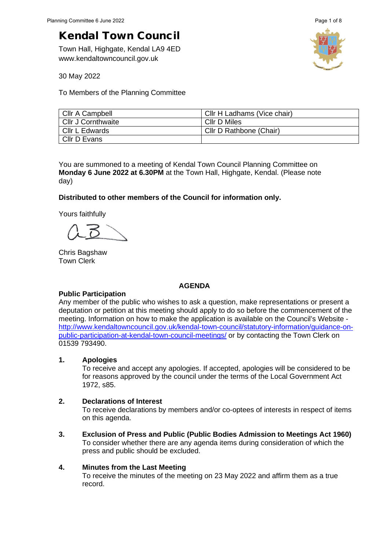Town Hall, Highgate, Kendal LA9 4ED www.kendaltowncouncil.gov.uk



30 May 2022

To Members of the Planning Committee

| Cllr A Campbell           | Cllr H Ladhams (Vice chair) |
|---------------------------|-----------------------------|
| <b>Cllr J Cornthwaite</b> | Cllr D Miles                |
| Cllr L Edwards            | Cllr D Rathbone (Chair)     |
| Cllr D Evans              |                             |

You are summoned to a meeting of Kendal Town Council Planning Committee on **Monday 6 June 2022 at 6.30PM** at the Town Hall, Highgate, Kendal. (Please note day)

## **Distributed to other members of the Council for information only.**

Yours faithfully

Chris Bagshaw Town Clerk

#### **AGENDA**

## **Public Participation**

Any member of the public who wishes to ask a question, make representations or present a deputation or petition at this meeting should apply to do so before the commencement of the meeting. Information on how to make the application is available on the Council's Website [http://www.kendaltowncouncil.gov.uk/kendal-town-council/statutory-information/guidance-on](http://www.kendaltowncouncil.gov.uk/kendal-town-council/statutory-information/guidance-on-public-participation-at-kendal-town-council-meetings/)[public-participation-at-kendal-town-council-meetings/](http://www.kendaltowncouncil.gov.uk/kendal-town-council/statutory-information/guidance-on-public-participation-at-kendal-town-council-meetings/) or by contacting the Town Clerk on 01539 793490.

#### **1. Apologies**

To receive and accept any apologies. If accepted, apologies will be considered to be for reasons approved by the council under the terms of the Local Government Act 1972, s85.

#### **2. Declarations of Interest**

To receive declarations by members and/or co-optees of interests in respect of items on this agenda.

**3. Exclusion of Press and Public (Public Bodies Admission to Meetings Act 1960)**  To consider whether there are any agenda items during consideration of which the press and public should be excluded.

## **4. Minutes from the Last Meeting**

To receive the minutes of the meeting on 23 May 2022 and affirm them as a true record.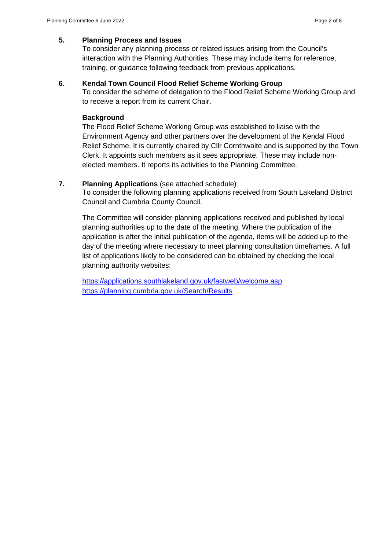## **5. Planning Process and Issues**

To consider any planning process or related issues arising from the Council's interaction with the Planning Authorities. These may include items for reference, training, or guidance following feedback from previous applications.

#### **6. Kendal Town Council Flood Relief Scheme Working Group**

To consider the scheme of delegation to the Flood Relief Scheme Working Group and to receive a report from its current Chair.

#### **Background**

The Flood Relief Scheme Working Group was established to liaise with the Environment Agency and other partners over the development of the Kendal Flood Relief Scheme. It is currently chaired by Cllr Cornthwaite and is supported by the Town Clerk. It appoints such members as it sees appropriate. These may include nonelected members. It reports its activities to the Planning Committee.

#### **7. Planning Applications** (see attached schedule)

To consider the following planning applications received from South Lakeland District Council and Cumbria County Council.

The Committee will consider planning applications received and published by local planning authorities up to the date of the meeting. Where the publication of the application is after the initial publication of the agenda, items will be added up to the day of the meeting where necessary to meet planning consultation timeframes. A full list of applications likely to be considered can be obtained by checking the local planning authority websites:

<https://applications.southlakeland.gov.uk/fastweb/welcome.asp> <https://planning.cumbria.gov.uk/Search/Results>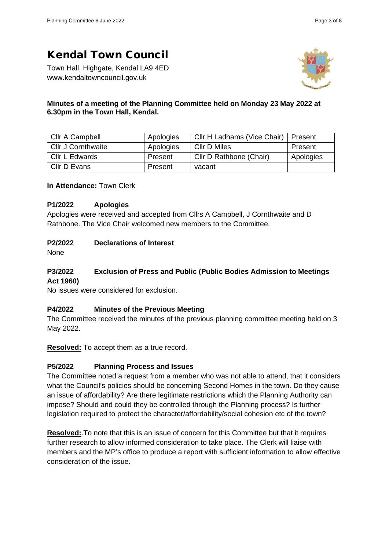Town Hall, Highgate, Kendal LA9 4ED www.kendaltowncouncil.gov.uk



## **Minutes of a meeting of the Planning Committee held on Monday 23 May 2022 at 6.30pm in the Town Hall, Kendal.**

| Cllr A Campbell    | Apologies | Cllr H Ladhams (Vice Chair) | l Present |
|--------------------|-----------|-----------------------------|-----------|
| Cllr J Cornthwaite | Apologies | Cllr D Miles                | Present   |
| Cllr L Edwards     | Present   | Cllr D Rathbone (Chair)     | Apologies |
| Cllr D Evans       | Present   | vacant                      |           |

**In Attendance:** Town Clerk

## **P1/2022 Apologies**

Apologies were received and accepted from Cllrs A Campbell, J Cornthwaite and D Rathbone. The Vice Chair welcomed new members to the Committee.

# **P2/2022 Declarations of Interest**

None

# **P3/2022 Exclusion of Press and Public (Public Bodies Admission to Meetings Act 1960)**

No issues were considered for exclusion.

# **P4/2022 Minutes of the Previous Meeting**

The Committee received the minutes of the previous planning committee meeting held on 3 May 2022.

**Resolved:** To accept them as a true record.

# **P5/2022 Planning Process and Issues**

The Committee noted a request from a member who was not able to attend, that it considers what the Council's policies should be concerning Second Homes in the town. Do they cause an issue of affordability? Are there legitimate restrictions which the Planning Authority can impose? Should and could they be controlled through the Planning process? Is further legislation required to protect the character/affordability/social cohesion etc of the town?

**Resolved:**.To note that this is an issue of concern for this Committee but that it requires further research to allow informed consideration to take place. The Clerk will liaise with members and the MP's office to produce a report with sufficient information to allow effective consideration of the issue.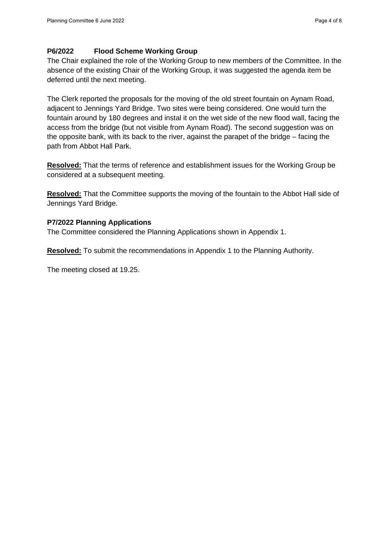## **P6/2022 Flood Scheme Working Group**

The Chair explained the role of the Working Group to new members of the Committee. In the absence of the existing Chair of the Working Group, it was suggested the agenda item be deferred until the next meeting.

The Clerk reported the proposals for the moving of the old street fountain on Aynam Road, adjacent to Jennings Yard Bridge. Two sites were being considered. One would turn the fountain around by 180 degrees and instal it on the wet side of the new flood wall, facing the access from the bridge (but not visible from Aynam Road). The second suggestion was on the opposite bank, with its back to the river, against the parapet of the bridge – facing the path from Abbot Hall Park.

**Resolved:** That the terms of reference and establishment issues for the Working Group be considered at a subsequent meeting.

**Resolved:** That the Committee supports the moving of the fountain to the Abbot Hall side of Jennings Yard Bridge.

## **P7/2022 Planning Applications**

The Committee considered the Planning Applications shown in Appendix 1.

**Resolved:** To submit the recommendations in Appendix 1 to the Planning Authority.

The meeting closed at 19.25.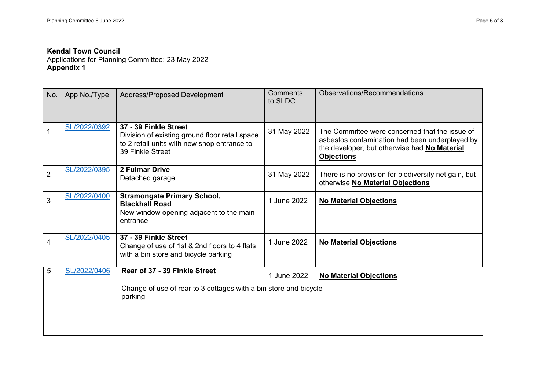Applications for Planning Committee: 23 May 2022 **Appendix 1** 

| No.            | App No./Type | <b>Address/Proposed Development</b>                                                                                                        | Comments<br>to SLDC | Observations/Recommendations                                                                                                                                          |
|----------------|--------------|--------------------------------------------------------------------------------------------------------------------------------------------|---------------------|-----------------------------------------------------------------------------------------------------------------------------------------------------------------------|
|                | SL/2022/0392 | 37 - 39 Finkle Street<br>Division of existing ground floor retail space<br>to 2 retail units with new shop entrance to<br>39 Finkle Street | 31 May 2022         | The Committee were concerned that the issue of<br>asbestos contamination had been underplayed by<br>the developer, but otherwise had No Material<br><b>Objections</b> |
| $\overline{2}$ | SL/2022/0395 | <b>2 Fulmar Drive</b><br>Detached garage                                                                                                   | 31 May 2022         | There is no provision for biodiversity net gain, but<br>otherwise No Material Objections                                                                              |
| 3              | SL/2022/0400 | <b>Stramongate Primary School,</b><br><b>Blackhall Road</b><br>New window opening adjacent to the main<br>entrance                         | 1 June 2022         | <b>No Material Objections</b>                                                                                                                                         |
| 4              | SL/2022/0405 | 37 - 39 Finkle Street<br>Change of use of 1st & 2nd floors to 4 flats<br>with a bin store and bicycle parking                              | 1 June 2022         | <b>No Material Objections</b>                                                                                                                                         |
| 5              | SL/2022/0406 | Rear of 37 - 39 Finkle Street                                                                                                              | 1 June 2022         | <b>No Material Objections</b>                                                                                                                                         |
|                |              | Change of use of rear to 3 cottages with a bin store and bicycle<br>parking                                                                |                     |                                                                                                                                                                       |
|                |              |                                                                                                                                            |                     |                                                                                                                                                                       |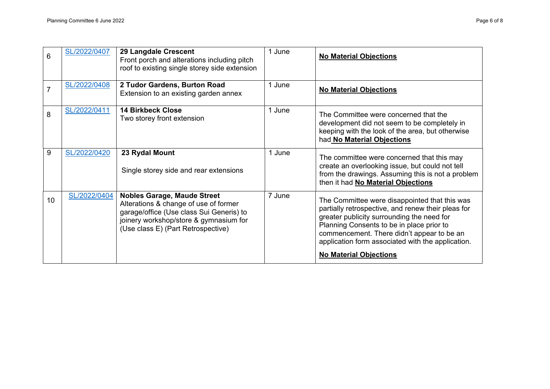| 6              | SL/2022/0407 | 29 Langdale Crescent<br>Front porch and alterations including pitch<br>roof to existing single storey side extension                                                                                    | 1 June | <b>No Material Objections</b>                                                                                                                                                                                                                                                                                                      |
|----------------|--------------|---------------------------------------------------------------------------------------------------------------------------------------------------------------------------------------------------------|--------|------------------------------------------------------------------------------------------------------------------------------------------------------------------------------------------------------------------------------------------------------------------------------------------------------------------------------------|
| $\overline{7}$ | SL/2022/0408 | 2 Tudor Gardens, Burton Road<br>Extension to an existing garden annex                                                                                                                                   | 1 June | <b>No Material Objections</b>                                                                                                                                                                                                                                                                                                      |
| 8              | SL/2022/0411 | <b>14 Birkbeck Close</b><br>Two storey front extension                                                                                                                                                  | 1 June | The Committee were concerned that the<br>development did not seem to be completely in<br>keeping with the look of the area, but otherwise<br>had No Material Objections                                                                                                                                                            |
| 9              | SL/2022/0420 | 23 Rydal Mount<br>Single storey side and rear extensions                                                                                                                                                | 1 June | The committee were concerned that this may<br>create an overlooking issue, but could not tell<br>from the drawings. Assuming this is not a problem<br>then it had No Material Objections                                                                                                                                           |
| 10             | SL/2022/0404 | <b>Nobles Garage, Maude Street</b><br>Alterations & change of use of former<br>garage/office (Use class Sui Generis) to<br>joinery workshop/store & gymnasium for<br>(Use class E) (Part Retrospective) | 7 June | The Committee were disappointed that this was<br>partially retrospective, and renew their pleas for<br>greater publicity surrounding the need for<br>Planning Consents to be in place prior to<br>commencement. There didn't appear to be an<br>application form associated with the application.<br><b>No Material Objections</b> |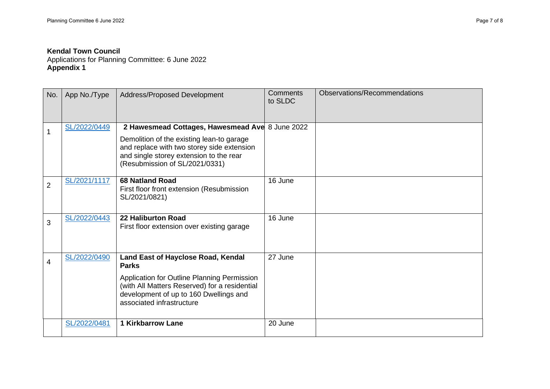Applications for Planning Committee: 6 June 2022 **Appendix 1**

| No.            | App No./Type | Address/Proposed Development                                                                                                                                                                                              | <b>Comments</b><br>to SLDC | Observations/Recommendations |
|----------------|--------------|---------------------------------------------------------------------------------------------------------------------------------------------------------------------------------------------------------------------------|----------------------------|------------------------------|
| 1              | SL/2022/0449 | 2 Hawesmead Cottages, Hawesmead Ave 8 June 2022<br>Demolition of the existing lean-to garage<br>and replace with two storey side extension<br>and single storey extension to the rear<br>(Resubmission of SL/2021/0331)   |                            |                              |
| $\overline{2}$ | SL/2021/1117 | <b>68 Natland Road</b><br>First floor front extension (Resubmission<br>SL/2021/0821)                                                                                                                                      | 16 June                    |                              |
| 3              | SL/2022/0443 | <b>22 Haliburton Road</b><br>First floor extension over existing garage                                                                                                                                                   | 16 June                    |                              |
| 4              | SL/2022/0490 | Land East of Hayclose Road, Kendal<br><b>Parks</b><br>Application for Outline Planning Permission<br>(with All Matters Reserved) for a residential<br>development of up to 160 Dwellings and<br>associated infrastructure | 27 June                    |                              |
|                | SL/2022/0481 | <b>1 Kirkbarrow Lane</b>                                                                                                                                                                                                  | 20 June                    |                              |